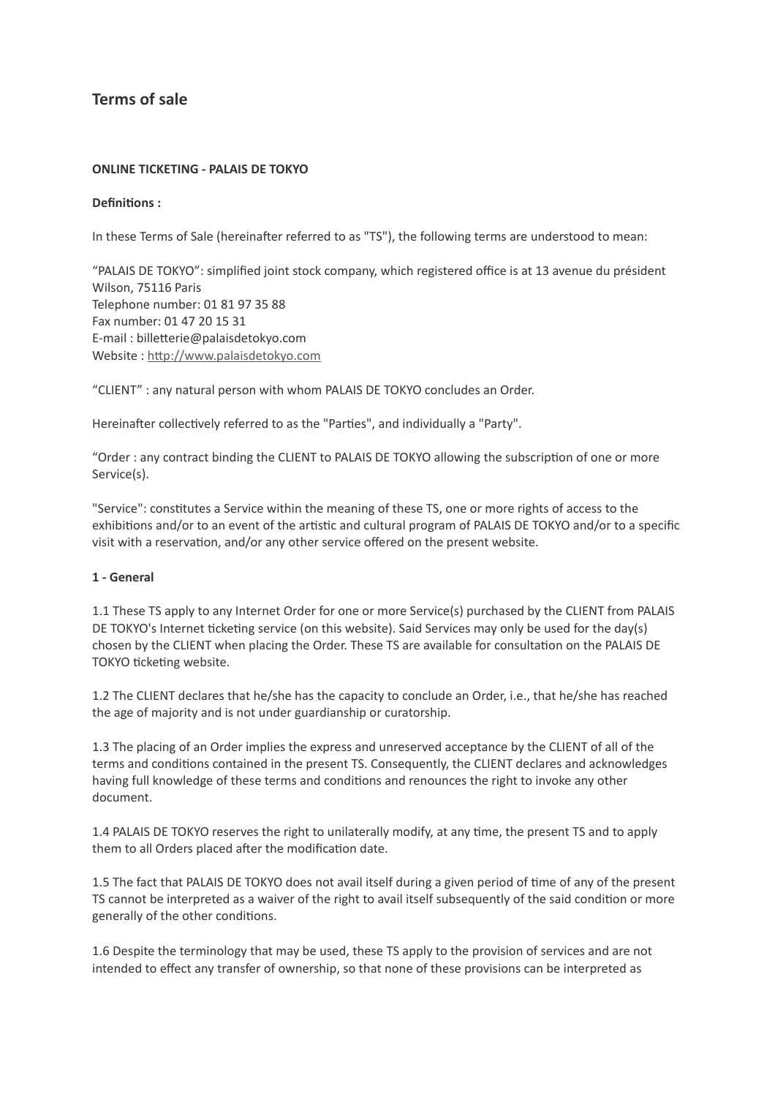# **Terms of sale**

#### **ONLINE TICKETING - PALAIS DE TOKYO**

#### **Definitions :**

In these Terms of Sale (hereinafter referred to as "TS"), the following terms are understood to mean:

"PALAIS DE TOKYO": simplified joint stock company, which registered office is at 13 avenue du président Wilson, 75116 Paris Telephone number: 01 81 97 35 88 Fax number: 01 47 20 15 31 E-mail : billetterie@palaisdetokyo.com Website : [http://www.palaisdetokyo.com](http://www.palaisdetokyo.com/)

"CLIENT" : any natural person with whom PALAIS DE TOKYO concludes an Order.

Hereinafter collectively referred to as the "Parties", and individually a "Party".

"Order : any contract binding the CLIENT to PALAIS DE TOKYO allowing the subscription of one or more Service(s).

"Service": constitutes a Service within the meaning of these TS, one or more rights of access to the exhibitions and/or to an event of the artistic and cultural program of PALAIS DE TOKYO and/or to a specific visit with a reservation, and/or any other service offered on the present website.

#### **1 - General**

1.1 These TS apply to any Internet Order for one or more Service(s) purchased by the CLIENT from PALAIS DE TOKYO's Internet ticketing service (on this website). Said Services may only be used for the day(s) chosen by the CLIENT when placing the Order. These TS are available for consultation on the PALAIS DE TOKYO ticketing website.

1.2 The CLIENT declares that he/she has the capacity to conclude an Order, i.e., that he/she has reached the age of majority and is not under guardianship or curatorship.

1.3 The placing of an Order implies the express and unreserved acceptance by the CLIENT of all of the terms and conditions contained in the present TS. Consequently, the CLIENT declares and acknowledges having full knowledge of these terms and conditions and renounces the right to invoke any other document.

1.4 PALAIS DE TOKYO reserves the right to unilaterally modify, at any time, the present TS and to apply them to all Orders placed after the modification date.

1.5 The fact that PALAIS DE TOKYO does not avail itself during a given period of time of any of the present TS cannot be interpreted as a waiver of the right to avail itself subsequently of the said condition or more generally of the other conditions.

1.6 Despite the terminology that may be used, these TS apply to the provision of services and are not intended to effect any transfer of ownership, so that none of these provisions can be interpreted as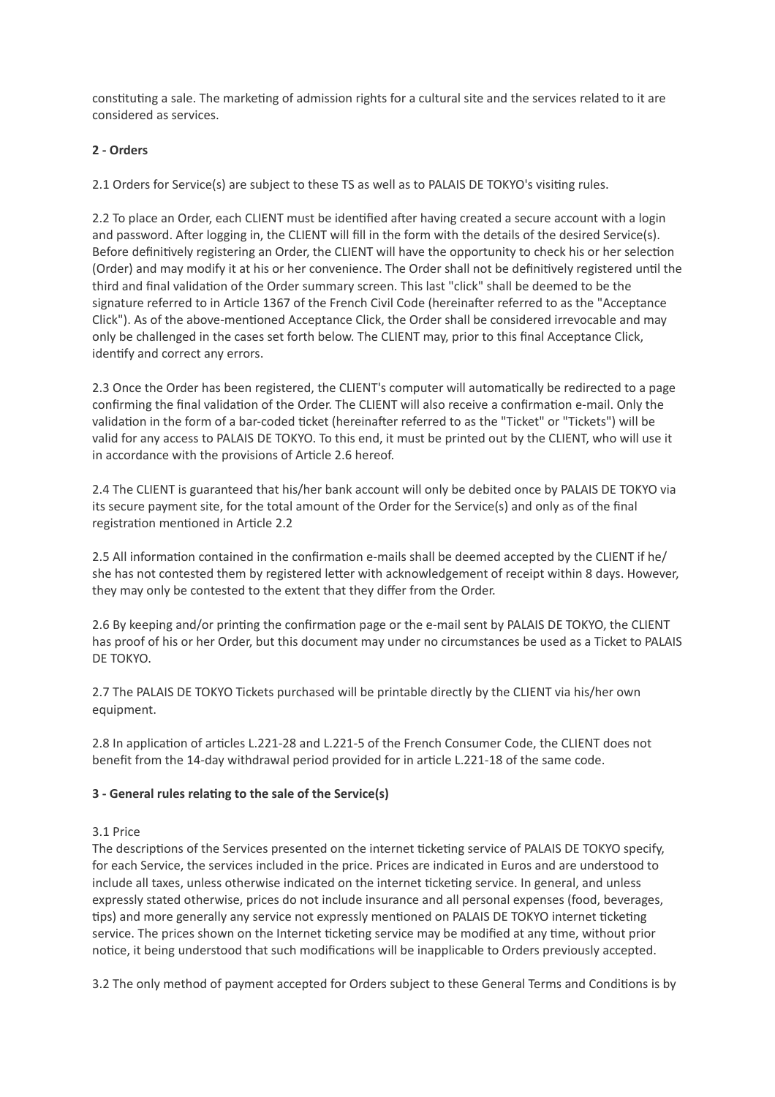constituting a sale. The marketing of admission rights for a cultural site and the services related to it are considered as services.

# **2 - Orders**

2.1 Orders for Service(s) are subject to these TS as well as to PALAIS DE TOKYO's visiting rules.

2.2 To place an Order, each CLIENT must be identified after having created a secure account with a login and password. After logging in, the CLIENT will fill in the form with the details of the desired Service(s). Before definitively registering an Order, the CLIENT will have the opportunity to check his or her selection (Order) and may modify it at his or her convenience. The Order shall not be definitively registered until the third and final validation of the Order summary screen. This last "click" shall be deemed to be the signature referred to in Article 1367 of the French Civil Code (hereinafter referred to as the "Acceptance Click"). As of the above-mentioned Acceptance Click, the Order shall be considered irrevocable and may only be challenged in the cases set forth below. The CLIENT may, prior to this final Acceptance Click, identify and correct any errors.

2.3 Once the Order has been registered, the CLIENT's computer will automatically be redirected to a page confirming the final validation of the Order. The CLIENT will also receive a confirmation e-mail. Only the validation in the form of a bar-coded ticket (hereinafter referred to as the "Ticket" or "Tickets") will be valid for any access to PALAIS DE TOKYO. To this end, it must be printed out by the CLIENT, who will use it in accordance with the provisions of Article 2.6 hereof.

2.4 The CLIENT is guaranteed that his/her bank account will only be debited once by PALAIS DE TOKYO via its secure payment site, for the total amount of the Order for the Service(s) and only as of the final registration mentioned in Article 2.2

2.5 All information contained in the confirmation e-mails shall be deemed accepted by the CLIENT if he/ she has not contested them by registered letter with acknowledgement of receipt within 8 days. However, they may only be contested to the extent that they differ from the Order.

2.6 By keeping and/or printing the confirmation page or the e-mail sent by PALAIS DE TOKYO, the CLIENT has proof of his or her Order, but this document may under no circumstances be used as a Ticket to PALAIS DE TOKYO.

2.7 The PALAIS DE TOKYO Tickets purchased will be printable directly by the CLIENT via his/her own equipment.

2.8 In application of articles L.221-28 and L.221-5 of the French Consumer Code, the CLIENT does not benefit from the 14-day withdrawal period provided for in article L.221-18 of the same code.

### **3 - General rules relating to the sale of the Service(s)**

### 3.1 Price

The descriptions of the Services presented on the internet ticketing service of PALAIS DE TOKYO specify, for each Service, the services included in the price. Prices are indicated in Euros and are understood to include all taxes, unless otherwise indicated on the internet ticketing service. In general, and unless expressly stated otherwise, prices do not include insurance and all personal expenses (food, beverages, tips) and more generally any service not expressly mentioned on PALAIS DE TOKYO internet ticketing service. The prices shown on the Internet ticketing service may be modified at any time, without prior notice, it being understood that such modifications will be inapplicable to Orders previously accepted.

3.2 The only method of payment accepted for Orders subject to these General Terms and Conditions is by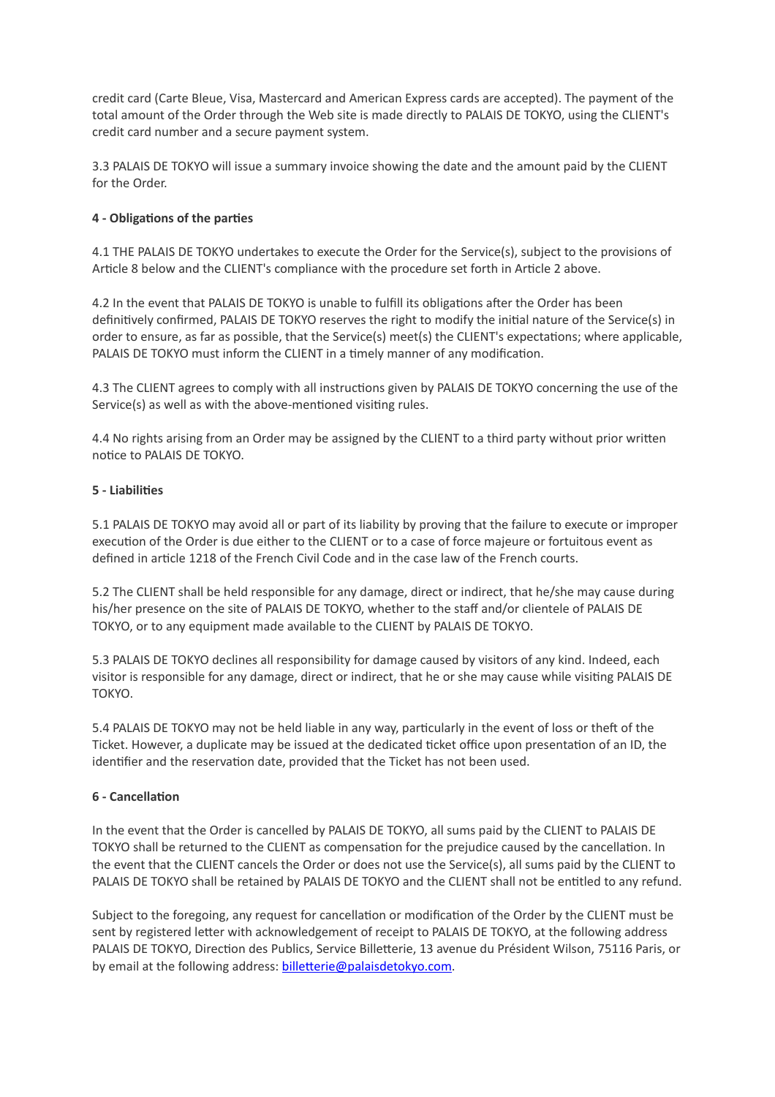credit card (Carte Bleue, Visa, Mastercard and American Express cards are accepted). The payment of the total amount of the Order through the Web site is made directly to PALAIS DE TOKYO, using the CLIENT's credit card number and a secure payment system.

3.3 PALAIS DE TOKYO will issue a summary invoice showing the date and the amount paid by the CLIENT for the Order.

## **4 - Obligations of the parties**

4.1 THE PALAIS DE TOKYO undertakes to execute the Order for the Service(s), subject to the provisions of Article 8 below and the CLIENT's compliance with the procedure set forth in Article 2 above.

4.2 In the event that PALAIS DE TOKYO is unable to fulfill its obligations after the Order has been definitively confirmed, PALAIS DE TOKYO reserves the right to modify the initial nature of the Service(s) in order to ensure, as far as possible, that the Service(s) meet(s) the CLIENT's expectations; where applicable, PALAIS DE TOKYO must inform the CLIENT in a timely manner of any modification.

4.3 The CLIENT agrees to comply with all instructions given by PALAIS DE TOKYO concerning the use of the Service(s) as well as with the above-mentioned visiting rules.

4.4 No rights arising from an Order may be assigned by the CLIENT to a third party without prior written notice to PALAIS DE TOKYO.

### **5 - Liabilities**

5.1 PALAIS DE TOKYO may avoid all or part of its liability by proving that the failure to execute or improper execution of the Order is due either to the CLIENT or to a case of force majeure or fortuitous event as defined in article 1218 of the French Civil Code and in the case law of the French courts.

5.2 The CLIENT shall be held responsible for any damage, direct or indirect, that he/she may cause during his/her presence on the site of PALAIS DE TOKYO, whether to the staff and/or clientele of PALAIS DE TOKYO, or to any equipment made available to the CLIENT by PALAIS DE TOKYO.

5.3 PALAIS DE TOKYO declines all responsibility for damage caused by visitors of any kind. Indeed, each visitor is responsible for any damage, direct or indirect, that he or she may cause while visiting PALAIS DE TOKYO.

5.4 PALAIS DE TOKYO may not be held liable in any way, particularly in the event of loss or theft of the Ticket. However, a duplicate may be issued at the dedicated ticket office upon presentation of an ID, the identifier and the reservation date, provided that the Ticket has not been used.

### **6 - Cancellation**

In the event that the Order is cancelled by PALAIS DE TOKYO, all sums paid by the CLIENT to PALAIS DE TOKYO shall be returned to the CLIENT as compensation for the prejudice caused by the cancellation. In the event that the CLIENT cancels the Order or does not use the Service(s), all sums paid by the CLIENT to PALAIS DE TOKYO shall be retained by PALAIS DE TOKYO and the CLIENT shall not be entitled to any refund.

Subject to the foregoing, any request for cancellation or modification of the Order by the CLIENT must be sent by registered letter with acknowledgement of receipt to PALAIS DE TOKYO, at the following address PALAIS DE TOKYO, Direction des Publics, Service Billetterie, 13 avenue du Président Wilson, 75116 Paris, or by email at the following address: [billetterie@palaisdetokyo.com.](mailto:billetterie@palaisdetokyo.com)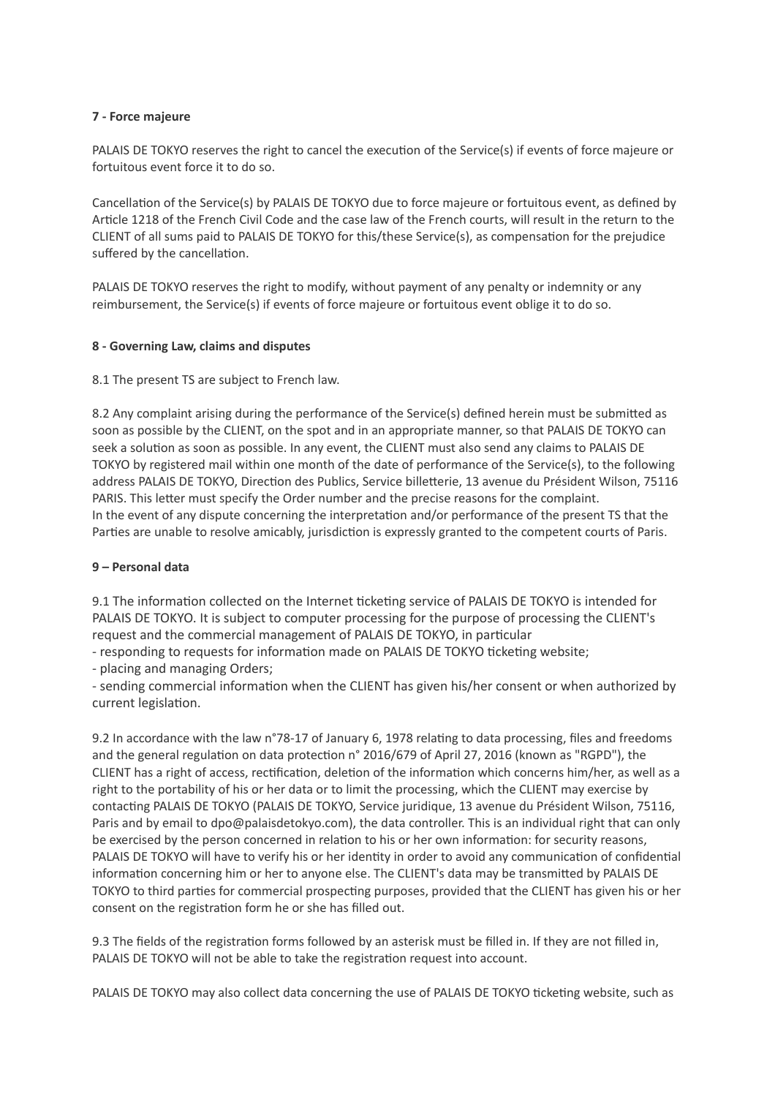### **7 - Force majeure**

PALAIS DE TOKYO reserves the right to cancel the execution of the Service(s) if events of force majeure or fortuitous event force it to do so.

Cancellation of the Service(s) by PALAIS DE TOKYO due to force majeure or fortuitous event, as defined by Article 1218 of the French Civil Code and the case law of the French courts, will result in the return to the CLIENT of all sums paid to PALAIS DE TOKYO for this/these Service(s), as compensation for the prejudice suffered by the cancellation.

PALAIS DE TOKYO reserves the right to modify, without payment of any penalty or indemnity or any reimbursement, the Service(s) if events of force majeure or fortuitous event oblige it to do so.

#### **8 - Governing Law, claims and disputes**

8.1 The present TS are subject to French law.

8.2 Any complaint arising during the performance of the Service(s) defined herein must be submitted as soon as possible by the CLIENT, on the spot and in an appropriate manner, so that PALAIS DE TOKYO can seek a solution as soon as possible. In any event, the CLIENT must also send any claims to PALAIS DE TOKYO by registered mail within one month of the date of performance of the Service(s), to the following address PALAIS DE TOKYO, Direction des Publics, Service billetterie, 13 avenue du Président Wilson, 75116 PARIS. This letter must specify the Order number and the precise reasons for the complaint. In the event of any dispute concerning the interpretation and/or performance of the present TS that the Parties are unable to resolve amicably, jurisdiction is expressly granted to the competent courts of Paris.

#### **9 – Personal data**

9.1 The information collected on the Internet ticketing service of PALAIS DE TOKYO is intended for PALAIS DE TOKYO. It is subject to computer processing for the purpose of processing the CLIENT's request and the commercial management of PALAIS DE TOKYO, in particular

- responding to requests for information made on PALAIS DE TOKYO ticketing website;

- placing and managing Orders;

- sending commercial information when the CLIENT has given his/her consent or when authorized by current legislation.

9.2 In accordance with the law n°78-17 of January 6, 1978 relating to data processing, files and freedoms and the general regulation on data protection n° 2016/679 of April 27, 2016 (known as "RGPD"), the CLIENT has a right of access, rectification, deletion of the information which concerns him/her, as well as a right to the portability of his or her data or to limit the processing, which the CLIENT may exercise by contacting PALAIS DE TOKYO (PALAIS DE TOKYO, Service juridique, 13 avenue du Président Wilson, 75116, Paris and by email to dpo@palaisdetokyo.com), the data controller. This is an individual right that can only be exercised by the person concerned in relation to his or her own information: for security reasons, PALAIS DE TOKYO will have to verify his or her identity in order to avoid any communication of confidential information concerning him or her to anyone else. The CLIENT's data may be transmitted by PALAIS DE TOKYO to third parties for commercial prospecting purposes, provided that the CLIENT has given his or her consent on the registration form he or she has filled out.

9.3 The fields of the registration forms followed by an asterisk must be filled in. If they are not filled in, PALAIS DE TOKYO will not be able to take the registration request into account.

PALAIS DE TOKYO may also collect data concerning the use of PALAIS DE TOKYO ticketing website, such as